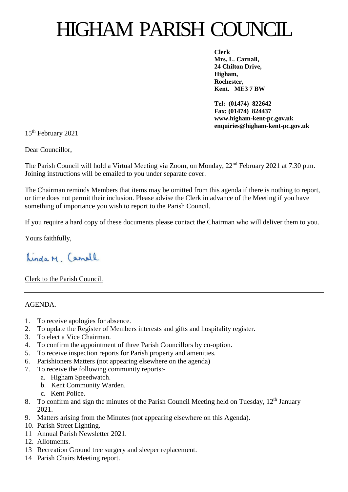## HIGHAM PARISH COUNCIL

**Clerk Mrs. L. Carnall, 24 Chilton Drive, Higham, Rochester, Kent. ME3 7 BW**

**Tel: (01474) 822642 Fax: (01474) 824437 www.higham-kent-pc.gov.uk enquiries@higham-kent-pc.gov.uk**

15 th February 2021

Dear Councillor,

The Parish Council will hold a Virtual Meeting via Zoom, on Monday,  $22<sup>nd</sup>$  February 2021 at 7.30 p.m. Joining instructions will be emailed to you under separate cover.

The Chairman reminds Members that items may be omitted from this agenda if there is nothing to report, or time does not permit their inclusion. Please advise the Clerk in advance of the Meeting if you have something of importance you wish to report to the Parish Council.

If you require a hard copy of these documents please contact the Chairman who will deliver them to you.

Yours faithfully,

Linda M. Camall

Clerk to the Parish Council.

AGENDA.

- 1. To receive apologies for absence.
- 2. To update the Register of Members interests and gifts and hospitality register.
- 3. To elect a Vice Chairman.
- 4. To confirm the appointment of three Parish Councillors by co-option.
- 5. To receive inspection reports for Parish property and amenities.
- 6. Parishioners Matters (not appearing elsewhere on the agenda)
- 7. To receive the following community reports:
	- a. Higham Speedwatch.
	- b. Kent Community Warden.
	- c. Kent Police.
- 8. To confirm and sign the minutes of the Parish Council Meeting held on Tuesday,  $12<sup>th</sup>$  January 2021.
- 9. Matters arising from the Minutes (not appearing elsewhere on this Agenda).
- 10. Parish Street Lighting.
- 11 Annual Parish Newsletter 2021.
- 12. Allotments.
- 13 Recreation Ground tree surgery and sleeper replacement.
- 14 Parish Chairs Meeting report.